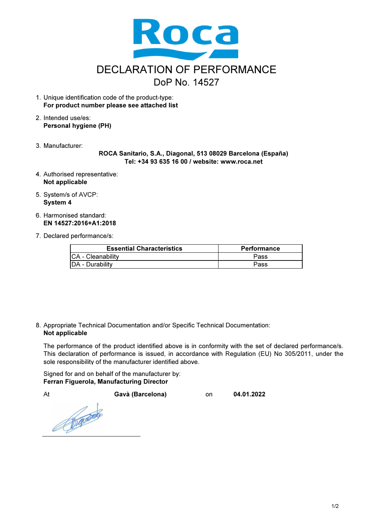

- 1. Unique identification code of the product-type: For product number please see attached list
- 2. Intended use/es: Personal hygiene (PH)
- 3. Manufacturer:

ROCA Sanitario, S.A., Diagonal, 513 08029 Barcelona (España) Tel: +34 93 635 16 00 / website: www.roca.net

- 4. Authorised representative: Not applicable
- 5. System/s of AVCP: System 4
- 6. Harmonised standard: EN 14527:2016+A1:2018
- 7. Declared performance/s:

| <b>Essential Characteristics</b> | <b>Performance</b> |  |
|----------------------------------|--------------------|--|
| <b>CA</b> - Cleanability         | Pass               |  |
| DA - Durability                  | Pass               |  |

8. Appropriate Technical Documentation and/or Specific Technical Documentation: Not applicable

The performance of the product identified above is in conformity with the set of declared performance/s. This declaration of performance is issued, in accordance with Regulation (EU) No 305/2011, under the sole responsibility of the manufacturer identified above.

Signed for and on behalf of the manufacturer by: Ferran Figuerola, Manufacturing Director

At Gavà (Barcelona) on 04.01.2022

Repairs